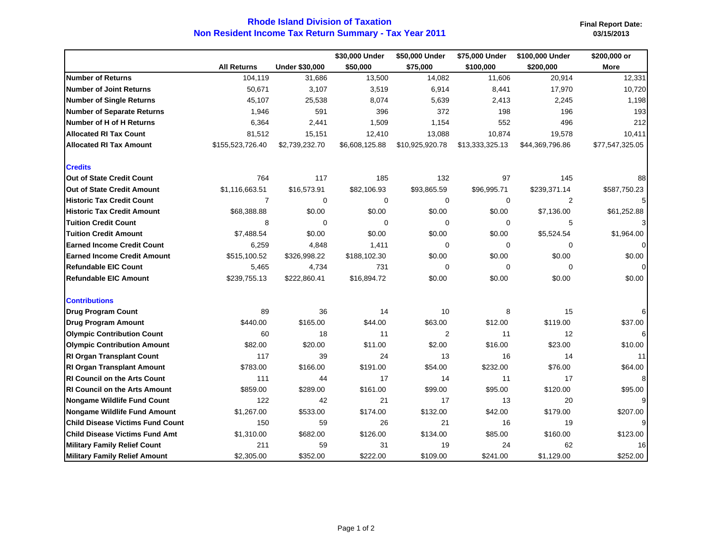## **Non Resident Income Tax Return Summary - Tax Year 2011 Rhode Island Division of Taxation**

**Final Report Date:** 

|                                         |                    |                       | \$30,000 Under | \$50,000 Under  | \$75,000 Under  | \$100,000 Under | \$200,000 or    |
|-----------------------------------------|--------------------|-----------------------|----------------|-----------------|-----------------|-----------------|-----------------|
|                                         | <b>All Returns</b> | <b>Under \$30,000</b> | \$50,000       | \$75,000        | \$100,000       | \$200,000       | <b>More</b>     |
| <b>Number of Returns</b>                | 104,119            | 31,686                | 13,500         | 14,082          | 11,606          | 20,914          | 12,331          |
| <b>Number of Joint Returns</b>          | 50,671             | 3,107                 | 3,519          | 6,914           | 8,441           | 17,970          | 10,720          |
| <b>Number of Single Returns</b>         | 45,107             | 25,538                | 8,074          | 5,639           | 2,413           | 2,245           | 1,198           |
| <b>Number of Separate Returns</b>       | 1,946              | 591                   | 396            | 372             | 198             | 196             | 193             |
| Number of H of H Returns                | 6,364              | 2,441                 | 1,509          | 1,154           | 552             | 496             | 212             |
| <b>Allocated RI Tax Count</b>           | 81,512             | 15,151                | 12,410         | 13,088          | 10,874          | 19,578          | 10,411          |
| <b>Allocated RI Tax Amount</b>          | \$155,523,726.40   | \$2,739,232.70        | \$6,608,125.88 | \$10,925,920.78 | \$13,333,325.13 | \$44,369,796.86 | \$77,547,325.05 |
| <b>Credits</b>                          |                    |                       |                |                 |                 |                 |                 |
| <b>Out of State Credit Count</b>        | 764                | 117                   | 185            | 132             | 97              | 145             | 88              |
| Out of State Credit Amount              | \$1,116,663.51     | \$16,573.91           | \$82,106.93    | \$93,865.59     | \$96,995.71     | \$239,371.14    | \$587,750.23    |
| <b>Historic Tax Credit Count</b>        | $\overline{7}$     | $\mathbf 0$           | $\mathbf 0$    | 0               | 0               | 2               |                 |
| <b>Historic Tax Credit Amount</b>       | \$68,388.88        | \$0.00                | \$0.00         | \$0.00          | \$0.00          | \$7,136.00      | \$61,252.88     |
| <b>Tuition Credit Count</b>             | 8                  | $\Omega$              | $\Omega$       | 0               | 0               | 5               | 3               |
| <b>Tuition Credit Amount</b>            | \$7,488.54         | \$0.00                | \$0.00         | \$0.00          | \$0.00          | \$5,524.54      | \$1,964.00      |
| <b>Earned Income Credit Count</b>       | 6,259              | 4,848                 | 1,411          | $\Omega$        | 0               | 0               |                 |
| <b>Earned Income Credit Amount</b>      | \$515,100.52       | \$326,998.22          | \$188,102.30   | \$0.00          | \$0.00          | \$0.00          | \$0.00          |
| <b>Refundable EIC Count</b>             | 5,465              | 4,734                 | 731            | 0               | 0               | $\mathbf 0$     |                 |
| <b>Refundable EIC Amount</b>            | \$239,755.13       | \$222,860.41          | \$16,894.72    | \$0.00          | \$0.00          | \$0.00          | \$0.00          |
| <b>Contributions</b>                    |                    |                       |                |                 |                 |                 |                 |
| <b>Drug Program Count</b>               | 89                 | 36                    | 14             | 10              | 8               | 15              | 6               |
| <b>Drug Program Amount</b>              | \$440.00           | \$165.00              | \$44.00        | \$63.00         | \$12.00         | \$119.00        | \$37.00         |
| <b>Olympic Contribution Count</b>       | 60                 | 18                    | 11             | $\overline{2}$  | 11              | 12              | 6               |
| <b>Olympic Contribution Amount</b>      | \$82.00            | \$20.00               | \$11.00        | \$2.00          | \$16.00         | \$23.00         | \$10.00         |
| <b>RI Organ Transplant Count</b>        | 117                | 39                    | 24             | 13              | 16              | 14              | 11              |
| <b>RI Organ Transplant Amount</b>       | \$783.00           | \$166.00              | \$191.00       | \$54.00         | \$232.00        | \$76.00         | \$64.00         |
| <b>RI Council on the Arts Count</b>     | 111                | 44                    | 17             | 14              | 11              | 17              | 8               |
| <b>RI Council on the Arts Amount</b>    | \$859.00           | \$289.00              | \$161.00       | \$99.00         | \$95.00         | \$120.00        | \$95.00         |
| Nongame Wildlife Fund Count             | 122                | 42                    | 21             | 17              | 13              | 20              | 9               |
| Nongame Wildlife Fund Amount            | \$1,267.00         | \$533.00              | \$174.00       | \$132.00        | \$42.00         | \$179.00        | \$207.00        |
| <b>Child Disease Victims Fund Count</b> | 150                | 59                    | 26             | 21              | 16              | 19              | 9               |
| <b>Child Disease Victims Fund Amt</b>   | \$1,310.00         | \$682.00              | \$126.00       | \$134.00        | \$85.00         | \$160.00        | \$123.00        |
| <b>Military Family Relief Count</b>     | 211                | 59                    | 31             | 19              | 24              | 62              | 16              |
| <b>Military Family Relief Amount</b>    | \$2,305.00         | \$352.00              | \$222.00       | \$109.00        | \$241.00        | \$1,129.00      | \$252.00        |